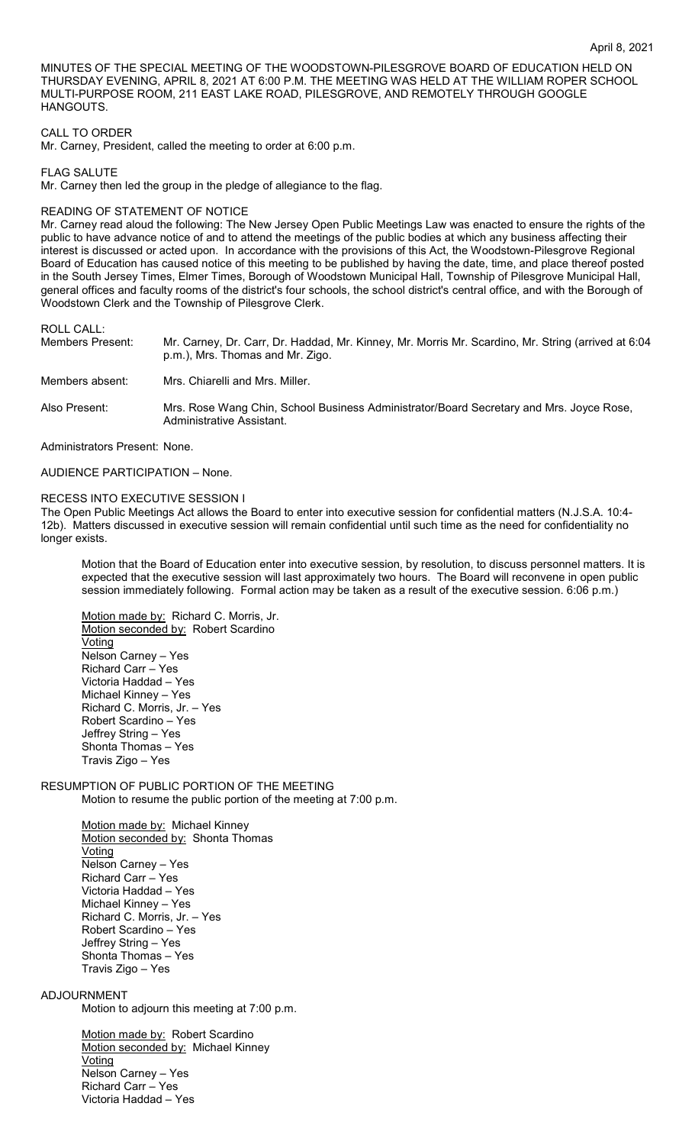MINUTES OF THE SPECIAL MEETING OF THE WOODSTOWN-PILESGROVE BOARD OF EDUCATION HELD ON THURSDAY EVENING, APRIL 8, 2021 AT 6:00 P.M. THE MEETING WAS HELD AT THE WILLIAM ROPER SCHOOL MULTI-PURPOSE ROOM, 211 EAST LAKE ROAD, PILESGROVE, AND REMOTELY THROUGH GOOGLE HANGOUTS.

# CALL TO ORDER

Mr. Carney, President, called the meeting to order at 6:00 p.m.

FLAG SALUTE

Mr. Carney then led the group in the pledge of allegiance to the flag.

### READING OF STATEMENT OF NOTICE

Mr. Carney read aloud the following: The New Jersey Open Public Meetings Law was enacted to ensure the rights of the public to have advance notice of and to attend the meetings of the public bodies at which any business affecting their interest is discussed or acted upon. In accordance with the provisions of this Act, the Woodstown-Pilesgrove Regional Board of Education has caused notice of this meeting to be published by having the date, time, and place thereof posted in the South Jersey Times, Elmer Times, Borough of Woodstown Municipal Hall, Township of Pilesgrove Municipal Hall, general offices and faculty rooms of the district's four schools, the school district's central office, and with the Borough of Woodstown Clerk and the Township of Pilesgrove Clerk.

ROLL CALL:

| Members Present: | Mr. Carney, Dr. Carr, Dr. Haddad, Mr. Kinney, Mr. Morris Mr. Scardino, Mr. String (arrived at 6:04<br>p.m.), Mrs. Thomas and Mr. Zigo. |
|------------------|----------------------------------------------------------------------------------------------------------------------------------------|
| Members absent:  | Mrs. Chiarelli and Mrs. Miller.                                                                                                        |
| Also Present:    | Mrs. Rose Wang Chin, School Business Administrator/Board Secretary and Mrs. Joyce Rose,<br>Administrative Assistant.                   |

Administrators Present: None.

AUDIENCE PARTICIPATION – None.

#### RECESS INTO EXECUTIVE SESSION I

The Open Public Meetings Act allows the Board to enter into executive session for confidential matters (N.J.S.A. 10:4- 12b). Matters discussed in executive session will remain confidential until such time as the need for confidentiality no longer exists.

Motion that the Board of Education enter into executive session, by resolution, to discuss personnel matters. It is expected that the executive session will last approximately two hours. The Board will reconvene in open public session immediately following. Formal action may be taken as a result of the executive session. 6:06 p.m.)

Motion made by: Richard C. Morris, Jr. Motion seconded by: Robert Scardino Voting Nelson Carney – Yes Richard Carr – Yes Victoria Haddad – Yes Michael Kinney – Yes Richard C. Morris, Jr. – Yes Robert Scardino – Yes Jeffrey String – Yes Shonta Thomas – Yes Travis Zigo – Yes

# RESUMPTION OF PUBLIC PORTION OF THE MEETING Motion to resume the public portion of the meeting at 7:00 p.m.

Motion made by: Michael Kinney Motion seconded by: Shonta Thomas **Voting** Nelson Carney – Yes Richard Carr – Yes Victoria Haddad – Yes Michael Kinney – Yes Richard C. Morris, Jr. – Yes Robert Scardino – Yes Jeffrey String – Yes Shonta Thomas – Yes Travis Zigo – Yes

# ADJOURNMENT

Motion to adjourn this meeting at 7:00 p.m.

Motion made by: Robert Scardino Motion seconded by: Michael Kinney **Voting** Nelson Carney – Yes Richard Carr – Yes Victoria Haddad – Yes